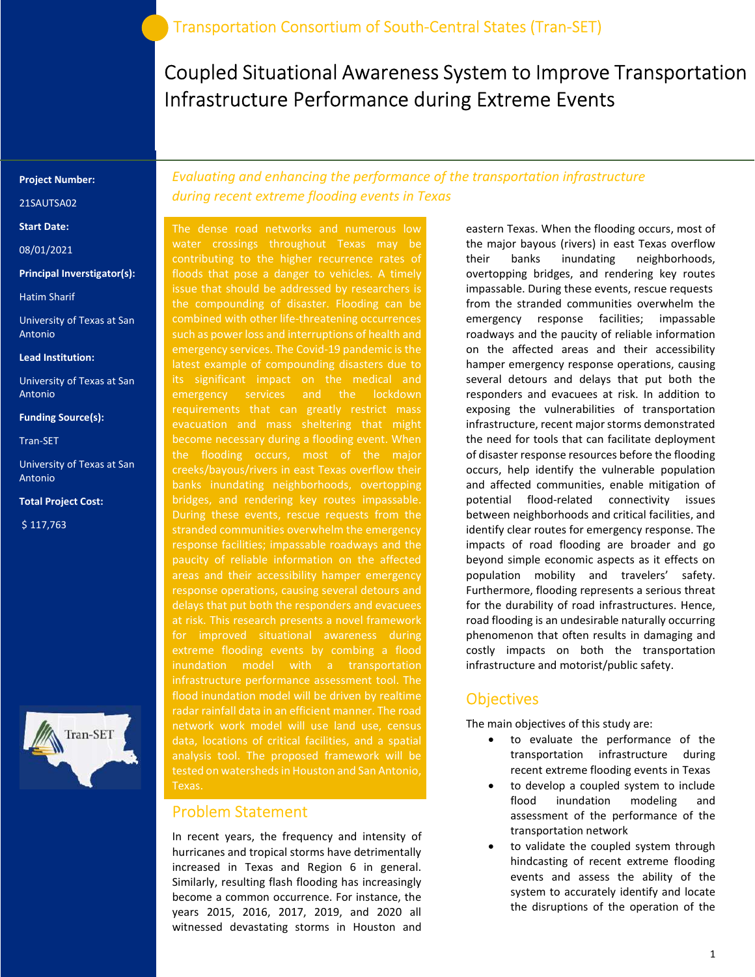Coupled Situational Awareness System to Improve Transportation Infrastructure Performance during Extreme Events

#### Project Number:

21SAUTSA02

Start Date:

08/01/2021

#### Principal Inverstigator(s):

Hatim Sharif

University of Texas at San Antonio

#### Lead Institution:

University of Texas at San Antonio

#### Funding Source(s):

Tran-SET

University of Texas at San Antonio

#### Total Project Cost:

\$ 117,763



Evaluating and enhancing the performance of the transportation infrastructure during recent extreme flooding events in Texas

The dense road networks and numerous low water crossings throughout Texas may be contributing to the higher recurrence rates of floods that pose a danger to vehicles. A timely issue that should be addressed by researchers is the compounding of disaster. Flooding can be combined with other life-threatening occurrences such as power loss and interruptions of health and emergency services. The Covid-19 pandemic is the latest example of compounding disasters due to its significant impact on the medical and emergency services and the lockdown requirements that can greatly restrict mass evacuation and mass sheltering that might become necessary during a flooding event. When the flooding occurs, most of the major creeks/bayous/rivers in east Texas overflow their banks inundating neighborhoods, overtopping bridges, and rendering key routes impassable. During these events, rescue requests from the stranded communities overwhelm the emergency paucity of reliable information on the affected areas and their accessibility hamper emergency response operations, causing several detours and at risk. This research presents a novel framework for improved situational awareness during extreme flooding events by combing a flood infrastructure performance assessment tool. The flood inundation model will be driven by realtime radar rainfall data in an efficient manner. The road network work model will use land use, census data, locations of critical facilities, and a spatial analysis tool. The proposed framework will be tested on watersheds in Houston and San Antonio,

### Problem Statement

In recent years, the frequency and intensity of hurricanes and tropical storms have detrimentally increased in Texas and Region 6 in general. Similarly, resulting flash flooding has increasingly become a common occurrence. For instance, the years 2015, 2016, 2017, 2019, and 2020 all witnessed devastating storms in Houston and

eastern Texas. When the flooding occurs, most of the major bayous (rivers) in east Texas overflow their banks inundating neighborhoods, overtopping bridges, and rendering key routes impassable. During these events, rescue requests from the stranded communities overwhelm the emergency response facilities; impassable roadways and the paucity of reliable information on the affected areas and their accessibility hamper emergency response operations, causing several detours and delays that put both the responders and evacuees at risk. In addition to exposing the vulnerabilities of transportation infrastructure, recent major storms demonstrated the need for tools that can facilitate deployment of disaster response resources before the flooding occurs, help identify the vulnerable population and affected communities, enable mitigation of potential flood-related connectivity issues between neighborhoods and critical facilities, and identify clear routes for emergency response. The impacts of road flooding are broader and go beyond simple economic aspects as it effects on population mobility and travelers' safety. Furthermore, flooding represents a serious threat for the durability of road infrastructures. Hence, road flooding is an undesirable naturally occurring phenomenon that often results in damaging and costly impacts on both the transportation infrastructure and motorist/public safety.

### **Objectives**

The main objectives of this study are:

- to evaluate the performance of the transportation infrastructure during recent extreme flooding events in Texas
- to develop a coupled system to include flood inundation modeling and assessment of the performance of the transportation network
- to validate the coupled system through hindcasting of recent extreme flooding events and assess the ability of the system to accurately identify and locate the disruptions of the operation of the